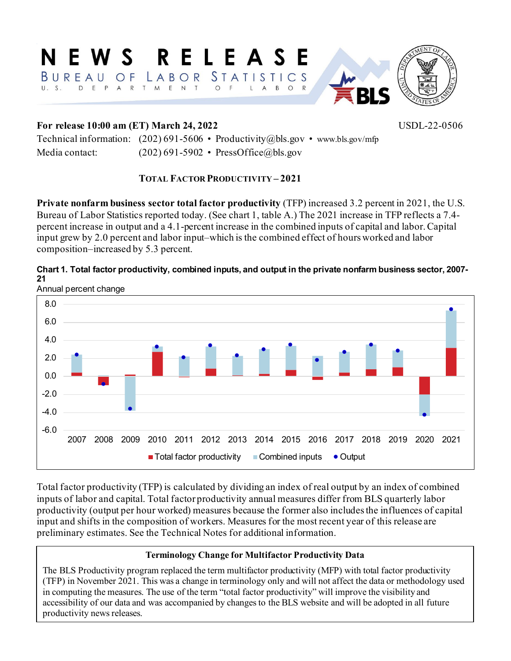#### NEWS RELEASE BUREAU OF LABOR STATISTICS U.S. DEPARTMENT O F A B O R  $\mathbf{L}$





## **For release 10:00 am (ET) March 24, 2022** USDL-22-0506

Technical information: (202) 691-5606 • Productivity@bls.gov • www.bls.gov/mfp Media contact: (202) 691-5902 • PressOffice@bls.gov

## **TOTAL FACTOR PRODUCTIVITY – 2021**

**Private nonfarm business sector total factor productivity** (TFP) increased 3.2 percent in 2021, the U.S. Bureau of Labor Statistics reported today. (See chart 1, table A.) The 2021 increase in TFP reflects a 7.4 percent increase in output and a 4.1-percent increase in the combined inputs of capital and labor. Capital input grew by 2.0 percent and labor input–which is the combined effect of hours worked and labor composition–increased by 5.3 percent.





Total factor productivity (TFP) is calculated by dividing an index of real output by an index of combined inputs of labor and capital. Total factor productivity annual measures differ from BLS quarterly labor productivity (output per hour worked) measures because the former also includes the influences of capital input and shifts in the composition of workers. Measures for the most recent year of this release are preliminary estimates. See the Technical Notes for additional information.

# **Terminology Change for Multifactor Productivity Data**

The BLS Productivity program replaced the term multifactor productivity (MFP) with total factor productivity (TFP) in November 2021. This was a change in terminology only and will not affect the data or methodology used in computing the measures. The use of the term "total factor productivity" will improve the visibility and accessibility of our data and was accompanied by changes to the BLS website and will be adopted in all future productivity news releases.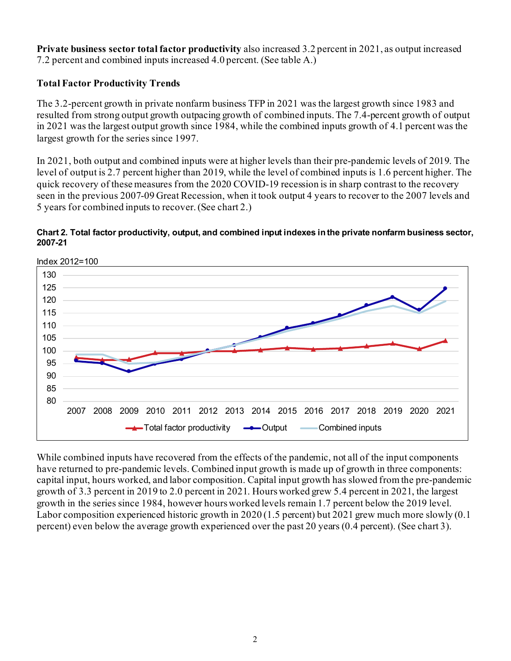**Private business sector total factor productivity** also increased 3.2 percent in 2021, as output increased 7.2 percent and combined inputs increased 4.0 percent. (See table A.)

## **Total Factor Productivity Trends**

The 3.2-percent growth in private nonfarm business TFP in 2021 was the largest growth since 1983 and resulted from strong output growth outpacing growth of combined inputs. The 7.4-percent growth of output in 2021 was the largest output growth since 1984, while the combined inputs growth of 4.1 percent was the largest growth for the series since 1997.

In 2021, both output and combined inputs were at higher levels than their pre-pandemic levels of 2019. The level of output is 2.7 percent higher than 2019, while the level of combined inputs is 1.6 percent higher. The quick recovery of these measures from the 2020 COVID-19 recession is in sharp contrast to the recovery seen in the previous 2007-09 Great Recession, when it took output 4 years to recover to the 2007 levels and 5 years for combined inputs to recover.(See chart 2.)

#### **Chart 2. Total factor productivity, output, and combined input indexes in the private nonfarm business sector, 2007-21**



While combined inputs have recovered from the effects of the pandemic, not all of the input components have returned to pre-pandemic levels. Combined input growth is made up of growth in three components: capital input, hours worked, and labor composition. Capital input growth has slowed from the pre-pandemic growth of 3.3 percent in 2019 to 2.0 percent in 2021. Hours worked grew 5.4 percent in 2021, the largest growth in the series since 1984, however hours worked levels remain 1.7 percent below the 2019 level. Labor composition experienced historic growth in 2020 (1.5 percent) but 2021 grew much more slowly (0.1 percent) even below the average growth experienced over the past 20 years (0.4 percent). (See chart 3).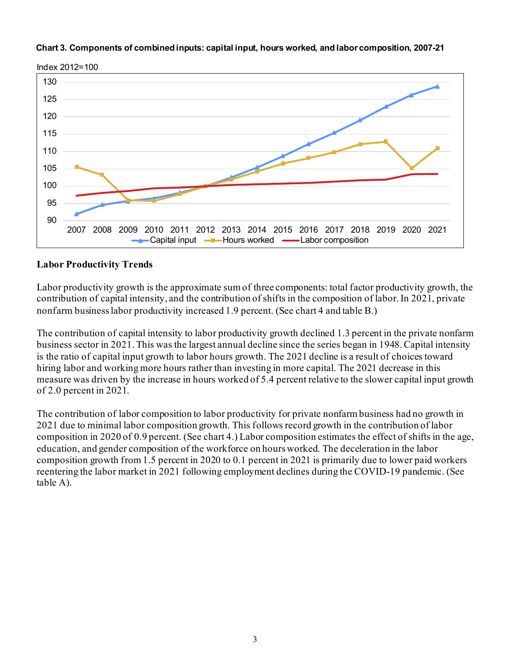



#### **Labor Productivity Trends**

Labor productivity growth is the approximate sum of three components: total factor productivity growth, the contribution of capital intensity, and the contribution of shifts in the composition of labor. In 2021, private nonfarm business labor productivity increased 1.9 percent. (See chart 4 and table B.)

The contribution of capital intensity to labor productivity growth declined 1.3 percent in the private nonfarm business sector in 2021. This was the largest annual decline since the series began in 1948. Capital intensity is the ratio of capital input growth to labor hours growth. The 2021 decline is a result of choices toward hiring labor and working more hours rather than investing in more capital. The 2021 decrease in this measure was driven by the increase in hours worked of 5.4 percent relative to the slower capital input growth of 2.0 percent in 2021.

The contribution of labor composition to labor productivity for private nonfarm business had no growth in 2021 due to minimal labor composition growth. This follows record growth in the contribution of labor composition in 2020 of 0.9 percent. (See chart 4.) Labor composition estimates the effect of shifts in the age, education, and gender composition of the workforce on hours worked. The deceleration in the labor composition growth from 1.5 percent in 2020 to 0.1 percent in 2021 is primarily due to lower paid workers reentering the labor market in 2021 following employment declines during the COVID-19 pandemic. (See table A).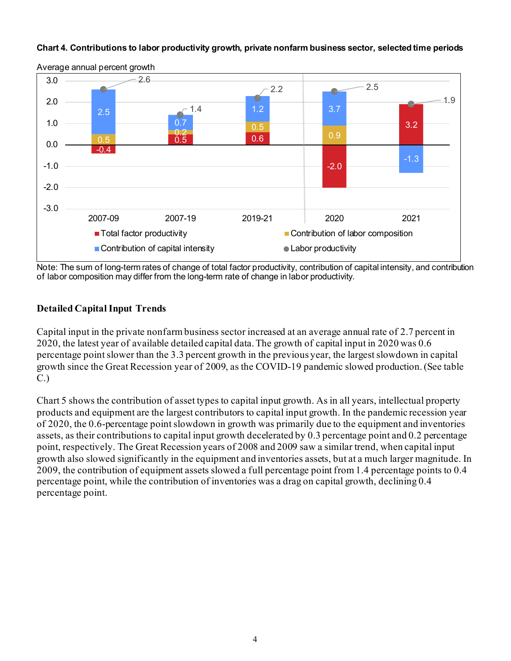#### **Chart 4. Contributions to labor productivity growth, private nonfarm business sector, selected time periods**



Average annual percent growth

Note: The sum of long-term rates of change of total factor productivity, contribution of capital intensity, and contribution of labor composition may differ from the long-term rate of change in labor productivity.

#### **Detailed Capital Input Trends**

Capital input in the private nonfarm business sector increased at an average annual rate of 2.7 percent in 2020, the latest year of available detailed capital data. The growth of capital input in 2020 was 0.6 percentage point slower than the 3.3 percent growth in the previous year, the largest slowdown in capital growth since the Great Recession year of 2009, as the COVID-19 pandemic slowed production. (See table C.)

Chart 5 shows the contribution of asset types to capital input growth. As in all years, intellectual property products and equipment are the largest contributors to capital input growth. In the pandemic recession year of 2020, the 0.6-percentage point slowdown in growth was primarily due to the equipment and inventories assets, as their contributions to capital input growth decelerated by 0.3 percentage point and 0.2 percentage point, respectively. The Great Recession years of 2008 and 2009 saw a similar trend, when capital input growth also slowed significantly in the equipment and inventories assets, but at a much larger magnitude. In 2009, the contribution of equipment assets slowed a full percentage point from 1.4 percentage points to 0.4 percentage point, while the contribution of inventories was a drag on capital growth, declining 0.4 percentage point.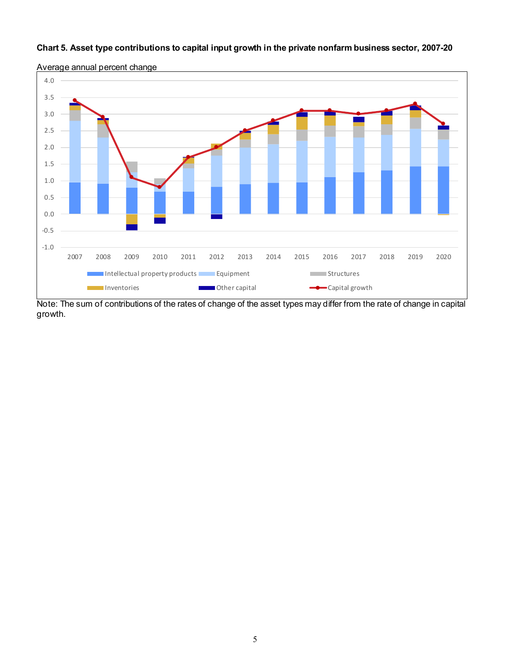#### **Chart 5. Asset type contributions to capital input growth in the private nonfarm business sector, 2007-20**



Average annual percent change

Note: The sum of contributions of the rates of change of the asset types may differ from the rate of change in capital growth.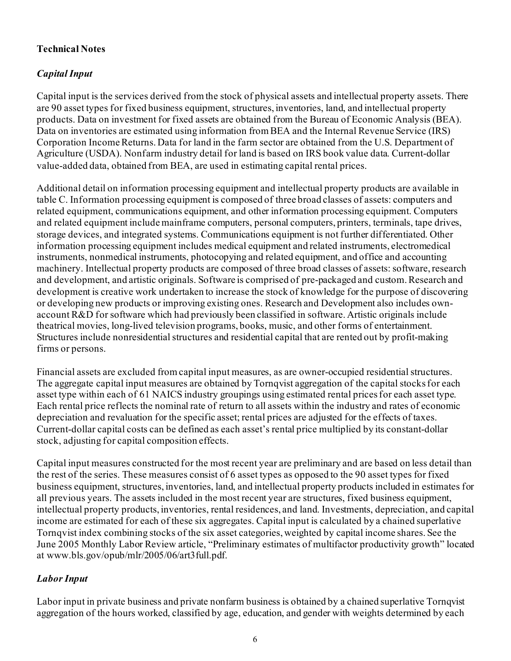## **Technical Notes**

## *Capital Input*

Capital input is the services derived from the stock of physical assets and intellectual property assets. There are 90 asset types for fixed business equipment, structures, inventories, land, and intellectual property products. Data on investment for fixed assets are obtained from the Bureau of Economic Analysis (BEA). Data on inventories are estimated using information from BEA and the Internal Revenue Service (IRS) Corporation Income Returns. Data for land in the farm sector are obtained from the U.S. Department of Agriculture (USDA). Nonfarm industry detail for land is based on IRS book value data. Current-dollar value-added data, obtained from BEA, are used in estimating capital rental prices.

Additional detail on information processing equipment and intellectual property products are available in table C. Information processing equipment is composed of three broad classes of assets: computers and related equipment, communications equipment, and other information processing equipment. Computers and related equipment include mainframe computers, personal computers, printers, terminals, tape drives, storage devices, and integrated systems. Communications equipment is not further differentiated. Other information processing equipment includes medical equipment and related instruments, electromedical instruments, nonmedical instruments, photocopying and related equipment, and office and accounting machinery. Intellectual property products are composed of three broad classes of assets: software, research and development, and artistic originals. Software is comprised of pre-packaged and custom. Research and development is creative work undertaken to increase the stock of knowledge for the purpose of discovering or developing new products or improving existing ones. Research and Development also includes ownaccount R&D for software which had previously been classified in software. Artistic originals include theatrical movies, long-lived television programs, books, music, and other forms of entertainment. Structures include nonresidential structures and residential capital that are rented out by profit-making firms or persons.

Financial assets are excluded from capital input measures, as are owner-occupied residential structures. The aggregate capital input measures are obtained by Tornqvist aggregation of the capital stocks for each asset type within each of 61 NAICS industry groupings using estimated rental prices for each asset type. Each rental price reflects the nominal rate of return to all assets within the industry and rates of economic depreciation and revaluation for the specific asset; rental prices are adjusted for the effects of taxes. Current-dollar capital costs can be defined as each asset's rental price multiplied by its constant-dollar stock, adjusting for capital composition effects.

Capital input measures constructed for the most recent year are preliminary and are based on less detail than the rest of the series. These measures consist of 6 asset types as opposed to the 90 asset types for fixed business equipment, structures, inventories, land, and intellectual property products included in estimates for all previous years. The assets included in the most recent year are structures, fixed business equipment, intellectual property products, inventories, rental residences, and land. Investments, depreciation, and capital income are estimated for each of these six aggregates. Capital input is calculated by a chained superlative Tornqvist index combining stocks of the six asset categories, weighted by capital income shares. See the June 2005 Monthly Labor Review article, "Preliminary estimates of multifactor productivity growth" located at www.bls.gov/opub/mlr/2005/06/art3full.pdf.

## *Labor Input*

Labor input in private business and private nonfarm business is obtained by a chained superlative Tornqvist aggregation of the hours worked, classified by age, education, and gender with weights determined by each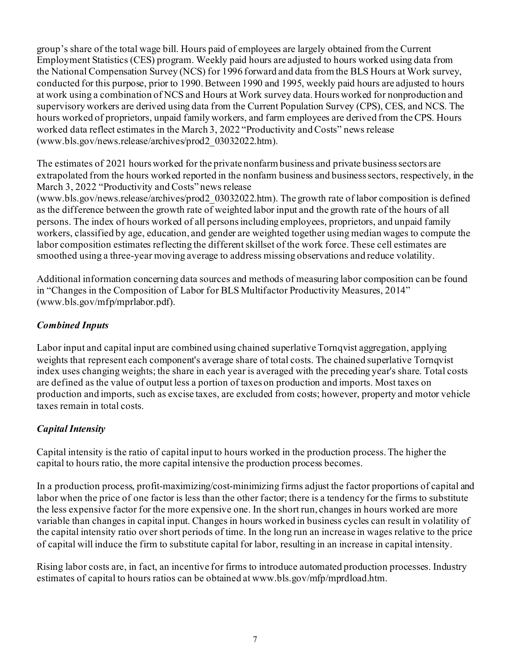group's share of the total wage bill. Hours paid of employees are largely obtained from the Current Employment Statistics (CES) program. Weekly paid hours are adjusted to hours worked using data from the National Compensation Survey (NCS) for 1996 forward and data from the BLS Hours at Work survey, conducted for this purpose, prior to 1990. Between 1990 and 1995, weekly paid hours are adjusted to hours at work using a combination of NCS and Hours at Work survey data. Hours worked for nonproduction and supervisory workers are derived using data from the Current Population Survey (CPS), CES, and NCS. The hours worked of proprietors, unpaid family workers, and farm employees are derived from the CPS. Hours worked data reflect estimates in the March 3, 2022 "Productivity and Costs" news release (www.bls.gov/news.release/archives/prod2\_03032022.htm).

The estimates of 2021 hours worked for the private nonfarm business and private business sectors are extrapolated from the hours worked reported in the nonfarm business and business sectors, respectively, in the March 3, 2022 "Productivity and Costs" news release

(www.bls.gov/news.release/archives/prod2\_03032022.htm). The growth rate of labor composition is defined as the difference between the growth rate of weighted labor input and the growth rate of the hours of all persons. The index of hours worked of all persons including employees, proprietors, and unpaid family workers, classified by age, education, and gender are weighted together using median wages to compute the labor composition estimates reflecting the different skillset of the work force. These cell estimates are smoothed using a three-year moving average to address missing observations and reduce volatility.

Additional information concerning data sources and methods of measuring labor composition can be found in "Changes in the Composition of Labor for BLS Multifactor Productivity Measures, 2014" (www.bls.gov/mfp/mprlabor.pdf).

## *Combined Inputs*

Labor input and capital input are combined using chained superlative Tornqvist aggregation, applying weights that represent each component's average share of total costs. The chained superlative Tornqvist index uses changing weights; the share in each year is averaged with the preceding year's share. Total costs are defined as the value of output less a portion of taxes on production and imports. Most taxes on production and imports, such as excise taxes, are excluded from costs; however, property and motor vehicle taxes remain in total costs.

## *Capital Intensity*

Capital intensity is the ratio of capital input to hours worked in the production process. The higher the capital to hours ratio, the more capital intensive the production process becomes.

In a production process, profit-maximizing/cost-minimizing firms adjust the factor proportions of capital and labor when the price of one factor is less than the other factor; there is a tendency for the firms to substitute the less expensive factor for the more expensive one. In the short run, changes in hours worked are more variable than changes in capital input. Changes in hours worked in business cycles can result in volatility of the capital intensity ratio over short periods of time. In the long run an increase in wages relative to the price of capital will induce the firm to substitute capital for labor, resulting in an increase in capital intensity.

Rising labor costs are, in fact, an incentive for firms to introduce automated production processes. Industry estimates of capital to hours ratios can be obtained at www.bls.gov/mfp/mprdload.htm.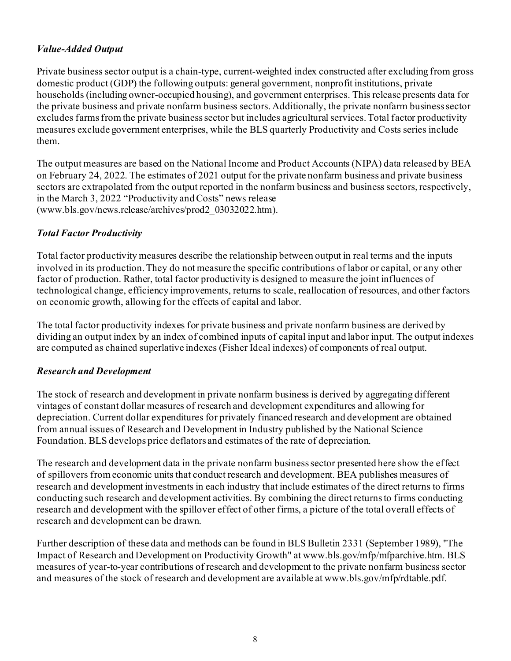## *Value-Added Output*

Private business sector output is a chain-type, current-weighted index constructed after excluding from gross domestic product (GDP) the following outputs: general government, nonprofit institutions, private households (including owner-occupied housing), and government enterprises. This release presents data for the private business and private nonfarm business sectors. Additionally, the private nonfarm business sector excludes farms from the private business sector but includes agricultural services. Total factor productivity measures exclude government enterprises, while the BLS quarterly Productivity and Costs series include them.

The output measures are based on the National Income and Product Accounts (NIPA) data released by BEA on February 24, 2022. The estimates of 2021 output for the private nonfarm business and private business sectors are extrapolated from the output reported in the nonfarm business and business sectors, respectively, in the March 3, 2022 "Productivity and Costs" news release (www.bls.gov/news.release/archives/prod2\_03032022.htm).

## *Total Factor Productivity*

Total factor productivity measures describe the relationship between output in real terms and the inputs involved in its production. They do not measure the specific contributions of labor or capital, or any other factor of production. Rather, total factor productivity is designed to measure the joint influences of technological change, efficiency improvements, returns to scale, reallocation of resources, and other factors on economic growth, allowing for the effects of capital and labor.

The total factor productivity indexes for private business and private nonfarm business are derived by dividing an output index by an index of combined inputs of capital input and labor input. The output indexes are computed as chained superlative indexes (Fisher Ideal indexes) of components of real output.

#### *Research and Development*

The stock of research and development in private nonfarm business is derived by aggregating different vintages of constant dollar measures of research and development expenditures and allowing for depreciation. Current dollar expenditures for privately financed research and development are obtained from annual issues of Research and Development in Industry published by the National Science Foundation. BLS develops price deflators and estimates of the rate of depreciation.

The research and development data in the private nonfarm business sector presented here show the effect of spillovers from economic units that conduct research and development. BEA publishes measures of research and development investments in each industry that include estimates of the direct returns to firms conducting such research and development activities. By combining the direct returns to firms conducting research and development with the spillover effect of other firms, a picture of the total overall effects of research and development can be drawn.

Further description of these data and methods can be found in BLS Bulletin 2331 (September 1989), "The Impact of Research and Development on Productivity Growth" at www.bls.gov/mfp/mfparchive.htm. BLS measures of year-to-year contributions of research and development to the private nonfarm business sector and measures of the stock of research and development are available [at www.bls.gov/mfp/rdtable.pdf](http://www.bls.gov/mfp/rdtable.pdf).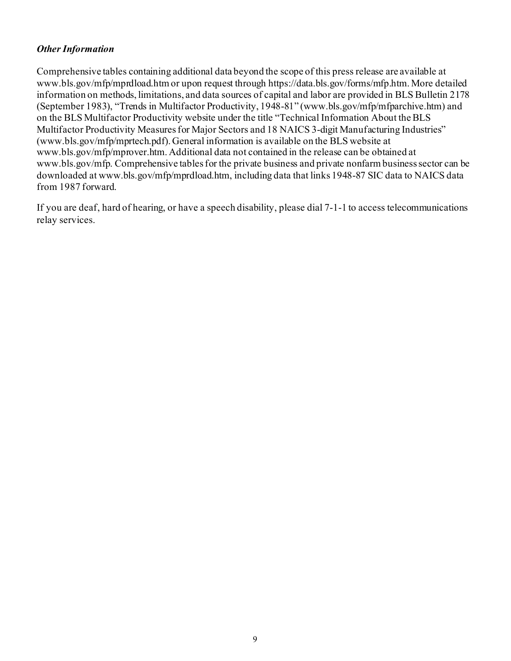#### *Other Information*

Comprehensive tables containing additional data beyond the scope of this press release are available [at](http://www.bls.gov/mfp/mprdload.htm)  [www.bls.gov/mfp/mprdload.htm](http://www.bls.gov/mfp/mprdload.htm) or upon request through https://data.bls.gov/forms/mfp.htm. More detailed information on methods, limitations, and data sources of capital and labor are provided in BLS Bulletin 2178 (September 1983), "Trends in Multifactor Productivity, 1948-81" (www.bls.gov/mfp/mfparchive.htm) and on the BLS Multifactor Productivity website under the title "Technical Information About the BLS Multifactor Productivity Measures for Major Sectors and 18 NAICS 3-digit Manufacturing Industries" (www.bls.gov/mfp/mprtech.pdf). General information is available on the BLS website at [www.bls.gov/mfp/mprover.htm.](http://www.bls.gov/mfp/mprover.htm.) Additional data not contained in the release can be obtained at [www.bls.gov/mfp.](http://www.bls.gov/mfp) Comprehensive tables for the private business and private nonfarm business sector can be downloaded a[t www.bls.gov/mfp/mprdload.htm](http://www.bls.gov/mfp/mprdload.htm), including data that links 1948-87 SIC data to NAICS data from 1987 forward.

If you are deaf, hard of hearing, or have a speech disability, please dial 7-1-1 to access telecommunications relay services.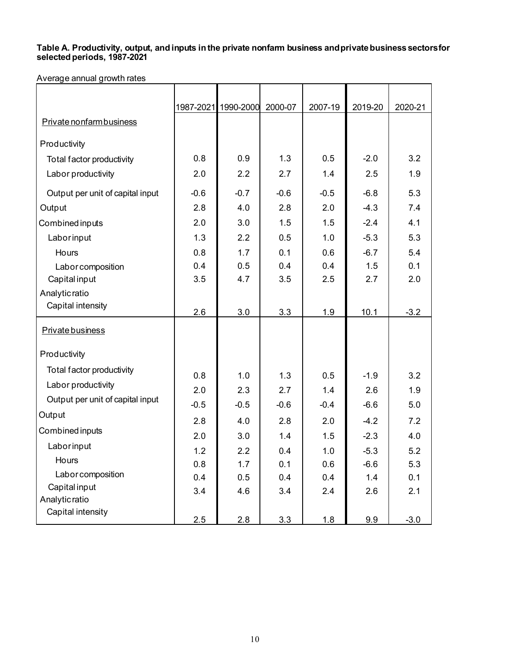#### **Table A. Productivity, output, and inputs in the private nonfarm business andprivatebusinesssectorsfor selected periods, 1987-2021**

Average annual growth rates

|                                  |        | 1987-2021 1990-2000 | 2000-07 | 2007-19 | 2019-20 | 2020-21 |
|----------------------------------|--------|---------------------|---------|---------|---------|---------|
| Private nonfarm business         |        |                     |         |         |         |         |
| Productivity                     |        |                     |         |         |         |         |
| Total factor productivity        | 0.8    | 0.9                 | 1.3     | 0.5     | $-2.0$  | 3.2     |
| Labor productivity               | 2.0    | 2.2                 | 2.7     | 1.4     | 2.5     | 1.9     |
|                                  |        |                     |         |         |         |         |
| Output per unit of capital input | $-0.6$ | $-0.7$              | $-0.6$  | $-0.5$  | $-6.8$  | 5.3     |
| Output                           | 2.8    | 4.0                 | 2.8     | 2.0     | $-4.3$  | 7.4     |
| Combined inputs                  | 2.0    | 3.0                 | 1.5     | 1.5     | $-2.4$  | 4.1     |
| Laborinput                       | 1.3    | 2.2                 | 0.5     | 1.0     | $-5.3$  | 5.3     |
| Hours                            | 0.8    | 1.7                 | 0.1     | 0.6     | $-6.7$  | 5.4     |
| Laborcomposition                 | 0.4    | 0.5                 | 0.4     | 0.4     | 1.5     | 0.1     |
| Capital input                    | 3.5    | 4.7                 | 3.5     | 2.5     | 2.7     | 2.0     |
| Analyticratio                    |        |                     |         |         |         |         |
| Capital intensity                | 2.6    | 3.0                 | 3.3     | 1.9     | 10.1    | $-3.2$  |
| <b>Private business</b>          |        |                     |         |         |         |         |
|                                  |        |                     |         |         |         |         |
| Productivity                     |        |                     |         |         |         |         |
| Total factor productivity        | 0.8    | 1.0                 | 1.3     | 0.5     | $-1.9$  | 3.2     |
| Labor productivity               | 2.0    | 2.3                 | 2.7     | 1.4     | 2.6     | 1.9     |
| Output per unit of capital input | $-0.5$ | $-0.5$              | $-0.6$  | $-0.4$  | $-6.6$  | 5.0     |
| Output                           |        |                     |         |         |         |         |
| Combined inputs                  | 2.8    | 4.0                 | 2.8     | 2.0     | $-4.2$  | 7.2     |
| Laborinput                       | 2.0    | 3.0                 | 1.4     | 1.5     | $-2.3$  | 4.0     |
| Hours                            | 1.2    | 2.2                 | 0.4     | 1.0     | $-5.3$  | 5.2     |
| Laborcomposition                 | 0.8    | 1.7                 | 0.1     | 0.6     | $-6.6$  | 5.3     |
| Capital input                    | 0.4    | 0.5                 | 0.4     | 0.4     | 1.4     | 0.1     |
| Analyticratio                    | 3.4    | 4.6                 | 3.4     | 2.4     | 2.6     | 2.1     |
| Capital intensity                | 2.5    | 2.8                 | 3.3     | 1.8     | 9.9     | $-3.0$  |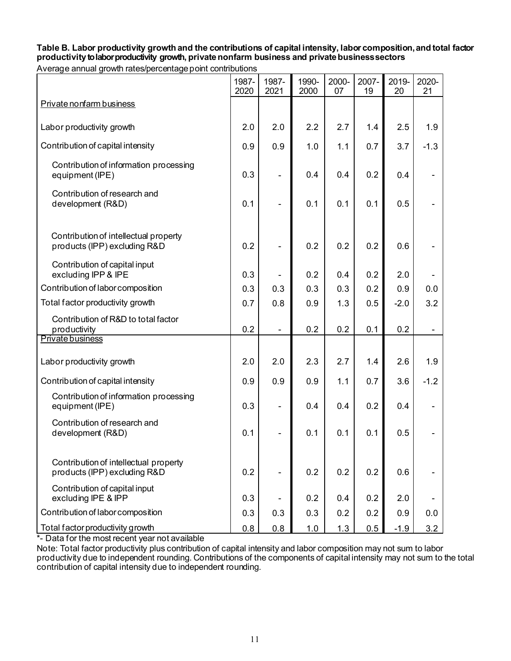# **Table B. Labor productivity growth and the contributions of capital intensity, labor composition,and total factor productivityto labor productivity growth, privatenonfarm business and privatebusinesssectors**

| Average annual growth rates/percentage point contributions |
|------------------------------------------------------------|
|------------------------------------------------------------|

|                                                                       | 1987-<br>2020 | 1987-<br>2021                | 1990-<br>2000 | 2000-<br>07 | 2007-<br>19 | 2019-<br>20 | 2020-<br>21 |
|-----------------------------------------------------------------------|---------------|------------------------------|---------------|-------------|-------------|-------------|-------------|
| Private nonfarm business                                              |               |                              |               |             |             |             |             |
| Labor productivity growth                                             | 2.0           | 2.0                          | 2.2           | 2.7         | 1.4         | 2.5         | 1.9         |
| Contribution of capital intensity                                     | 0.9           | 0.9                          | 1.0           | 1.1         | 0.7         | 3.7         | $-1.3$      |
| Contribution of information processing<br>equipment (IPE)             | 0.3           |                              | 0.4           | 0.4         | 0.2         | 0.4         |             |
| Contribution of research and<br>development (R&D)                     | 0.1           |                              | 0.1           | 0.1         | 0.1         | 0.5         |             |
| Contribution of intellectual property<br>products (IPP) excluding R&D | 0.2           |                              | 0.2           | 0.2         | 0.2         | 0.6         |             |
| Contribution of capital input<br>excluding IPP & IPE                  | 0.3           |                              | 0.2           | 0.4         | 0.2         | 2.0         |             |
| Contribution of labor composition                                     | 0.3           | 0.3                          | 0.3           | 0.3         | 0.2         | 0.9         | 0.0         |
| Total factor productivity growth                                      | 0.7           | 0.8                          | 0.9           | 1.3         | 0.5         | $-2.0$      | 3.2         |
| Contribution of R&D to total factor<br>productivity                   | 0.2           | $\qquad \qquad \blacksquare$ | 0.2           | 0.2         | 0.1         | 0.2         |             |
| Private business                                                      |               |                              |               |             |             |             |             |
| Labor productivity growth                                             | 2.0           | 2.0                          | 2.3           | 2.7         | 1.4         | 2.6         | 1.9         |
| Contribution of capital intensity                                     | 0.9           | 0.9                          | 0.9           | 1.1         | 0.7         | 3.6         | $-1.2$      |
| Contribution of information processing<br>equipment (IPE)             | 0.3           | $\overline{\phantom{0}}$     | 0.4           | 0.4         | 0.2         | 0.4         |             |
| Contribution of research and<br>development (R&D)                     | 0.1           |                              | 0.1           | 0.1         | 0.1         | 0.5         |             |
| Contribution of intellectual property<br>products (IPP) excluding R&D | 0.2           |                              | 0.2           | 0.2         | 0.2         | 0.6         |             |
| Contribution of capital input<br>excluding IPE & IPP                  | 0.3           |                              | 0.2           | 0.4         | 0.2         | 2.0         |             |
| Contribution of labor composition                                     | 0.3           | 0.3                          | 0.3           | 0.2         | 0.2         | 0.9         | 0.0         |
| Total factor productivity growth                                      | 0.8           | 0.8                          | 1.0           | 1.3         | 0.5         | $-1.9$      | 3.2         |

\*- Data for the most recent year not available

Note: Total factor productivity plus contribution of capital intensity and labor composition may not sum to labor productivity due to independent rounding. Contributions of the components of capital intensity may not sum to the total contribution of capital intensity due to independent rounding.